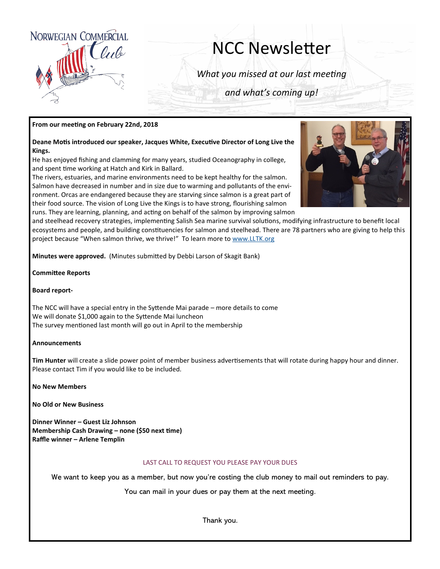

# NCC Newsletter

*What you missed at our last meeting*

*and what's coming up!*

### **From our meeting on February 22nd, 2018**

**Deane Motis introduced our speaker, Jacques White, Executive Director of Long Live the Kings.**

He has enjoyed fishing and clamming for many years, studied Oceanography in college, and spent time working at Hatch and Kirk in Ballard.

The rivers, estuaries, and marine environments need to be kept healthy for the salmon. Salmon have decreased in number and in size due to warming and pollutants of the environment. Orcas are endangered because they are starving since salmon is a great part of their food source. The vision of Long Live the Kings is to have strong, flourishing salmon runs. They are learning, planning, and acting on behalf of the salmon by improving salmon



and steelhead recovery strategies, implementing Salish Sea marine survival solutions, modifying infrastructure to benefit local ecosystems and people, and building constituencies for salmon and steelhead. There are 78 partners who are giving to help this project because "When salmon thrive, we thrive!" To learn more to [www.LLTK.org](http://www.LLTK.org)

**Minutes were approved.** (Minutes submitted by Debbi Larson of Skagit Bank)

**Committee Reports**

#### **Board report-**

The NCC will have a special entry in the Syttende Mai parade – more details to come We will donate \$1,000 again to the Syttende Mai luncheon The survey mentioned last month will go out in April to the membership

#### **Announcements**

**Tim Hunter** will create a slide power point of member business advertisements that will rotate during happy hour and dinner. Please contact Tim if you would like to be included.

**No New Members**

**No Old or New Business**

**Dinner Winner – Guest Liz Johnson Membership Cash Drawing – none (\$50 next time) Raffle winner – Arlene Templin**

#### LAST CALL TO REQUEST YOU PLEASE PAY YOUR DUES

**We want to keep you as a member, but now you're costing the club money to mail out reminders to pay.**

**You can mail in your dues or pay them at the next meeting.** 

**Thank you.**